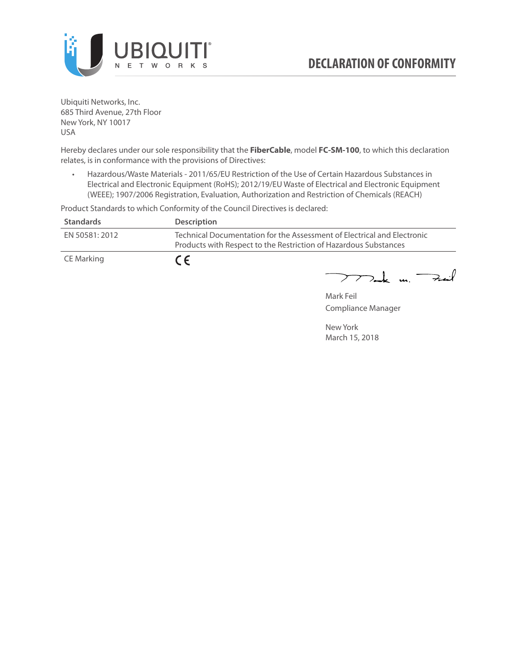

Ubiquiti Networks, Inc. 685 Third Avenue, 27th Floor New York, NY 10017 USA

Hereby declares under our sole responsibility that the **FiberCable**, model **FC-SM-100**, to which this declaration relates, is in conformance with the provisions of Directives:

• Hazardous/Waste Materials - 2011/65/EU Restriction of the Use of Certain Hazardous Substances in Electrical and Electronic Equipment (RoHS); 2012/19/EU Waste of Electrical and Electronic Equipment (WEEE); 1907/2006 Registration, Evaluation, Authorization and Restriction of Chemicals (REACH)

Product Standards to which Conformity of the Council Directives is declared:

| <b>Standards</b> | <b>Description</b>                                                                                                                          |
|------------------|---------------------------------------------------------------------------------------------------------------------------------------------|
| EN 50581: 2012   | Technical Documentation for the Assessment of Electrical and Electronic<br>Products with Respect to the Restriction of Hazardous Substances |
| CE Marking       | $\epsilon$                                                                                                                                  |

 $772$ ak m. Fail

Mark Feil Compliance Manager

New York March 15, 2018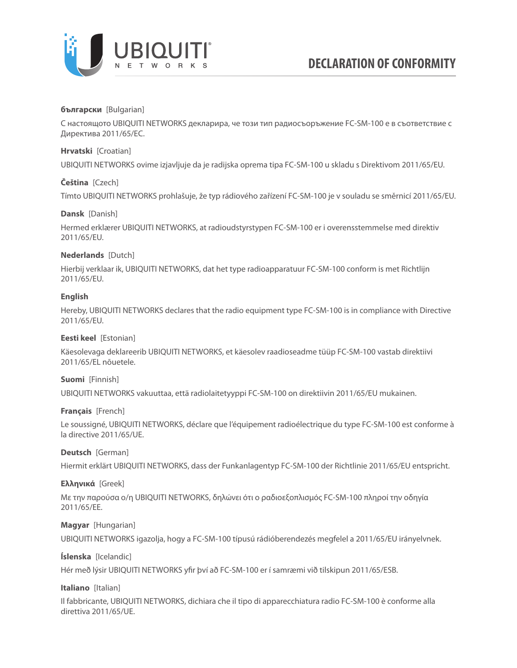

### **български** [Bulgarian]

С настоящото UBIQUITI NETWORKS декларира, че този тип радиосъоръжение FC-SM-100 е в съответствие с Директива 2011/65/ЕС.

### **Hrvatski** [Croatian]

UBIQUITI NETWORKS ovime izjavljuje da je radijska oprema tipa FC-SM-100 u skladu s Direktivom 2011/65/ЕU.

# **Čeština** [Czech]

Tímto UBIQUITI NETWORKS prohlašuje, že typ rádiového zařízení FC-SM-100 je v souladu se směrnicí 2011/65/ЕU.

### **Dansk** [Danish]

Hermed erklærer UBIQUITI NETWORKS, at radioudstyrstypen FC-SM-100 er i overensstemmelse med direktiv 2011/65/ЕU.

# **Nederlands** [Dutch]

Hierbij verklaar ik, UBIQUITI NETWORKS, dat het type radioapparatuur FC-SM-100 conform is met Richtlijn 2011/65/ЕU.

# **English**

Hereby, UBIQUITI NETWORKS declares that the radio equipment type FC-SM-100 is in compliance with Directive 2011/65/ЕU.

### **Eesti keel** [Estonian]

Käesolevaga deklareerib UBIQUITI NETWORKS, et käesolev raadioseadme tüüp FC-SM-100 vastab direktiivi 2011/65/EL nõuetele.

### **Suomi** [Finnish]

UBIQUITI NETWORKS vakuuttaa, että radiolaitetyyppi FC-SM-100 on direktiivin 2011/65/EU mukainen.

### **Français** [French]

Le soussigné, UBIQUITI NETWORKS, déclare que l'équipement radioélectrique du type FC-SM-100 est conforme à la directive 2011/65/UE.

### **Deutsch** [German]

Hiermit erklärt UBIQUITI NETWORKS, dass der Funkanlagentyp FC-SM-100 der Richtlinie 2011/65/EU entspricht.

### **Ελληνικά** [Greek]

Με την παρούσα ο/η UBIQUITI NETWORKS, δηλώνει ότι ο ραδιοεξοπλισμός FC-SM-100 πληροί την οδηγία 2011/65/EE.

### **Magyar** [Hungarian]

UBIQUITI NETWORKS igazolja, hogy a FC-SM-100 típusú rádióberendezés megfelel a 2011/65/EU irányelvnek.

# **Íslenska** [Icelandic]

Hér með lýsir UBIQUITI NETWORKS yfir því að FC-SM-100 er í samræmi við tilskipun 2011/65/ESB.

### **Italiano** [Italian]

Il fabbricante, UBIQUITI NETWORKS, dichiara che il tipo di apparecchiatura radio FC-SM-100 è conforme alla direttiva 2011/65/UE.